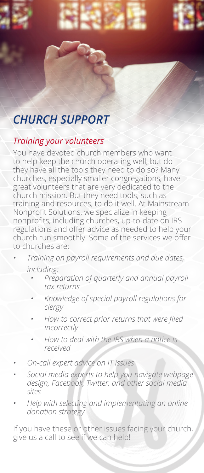## *CHURCH SUPPORT*

## *Training your volunteers*

You have devoted church members who want to help keep the church operating well, but do they have all the tools they need to do so? Many churches, especially smaller congregations, have great volunteers that are very dedicated to the church mission. But they need tools, such as training and resources, to do it well. At Mainstream Nonprofit Solutions, we specialize in keeping nonprofits, including churches, up-to-date on IRS regulations and offer advice as needed to help your church run smoothly. Some of the services we offer to churches are:

- *• Training on payroll requirements and due dates, including:*
	- *• Preparation of quarterly and annual payroll tax returns*
	- *• Knowledge of special payroll regulations for clergy*
	- *• How to correct prior returns that were filed incorrectly*
	- *• How to deal with the IRS when a notice is received*
- *• On-call expert advice on IT issues*
- *• Social media experts to help you navigate webpage design, Facebook, Twitter, and other social media sites*
- *• Help with selecting and implementating an online donation strategy*

If you have these or other issues facing your church, give us a call to see if we can help!